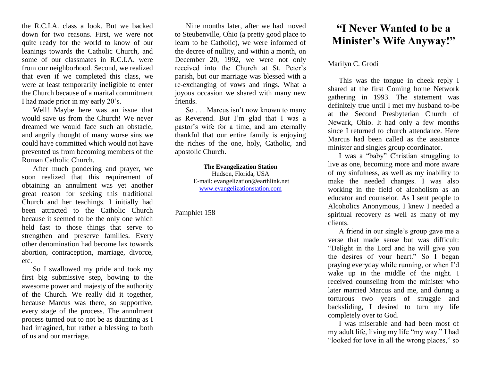the R.C.I.A. class a look. But we backed down for two reasons. First, we were not quite ready for the world to know of our leanings towards the Catholic Church, and some of our classmates in R.C.I.A. were from our neighborhood. Second, we realized that even if we completed this class, we were at least temporarily ineligible to enter the Church because of a marital commitment I had made prior in my early 20's.

Well! Maybe here was an issue that would save us from the Church! We never dreamed we would face such an obstacle, and angrily thought of many worse sins we could have committed which would not have prevented us from becoming members of the Roman Catholic Church.

After much pondering and prayer, we soon realized that this requirement of obtaining an annulment was yet another great reason for seeking this traditional Church and her teachings. I initially had been attracted to the Catholic Church because it seemed to be the only one which held fast to those things that serve to strengthen and preserve families. Every other denomination had become lax towards abortion, contraception, marriage, divorce, etc.

So I swallowed my pride and took my first big submissive step, bowing to the awesome power and majesty of the authority of the Church. We really did it together, because Marcus was there, so supportive, every stage of the process. The annulment process turned out to not be as daunting as I had imagined, but rather a blessing to both of us and our marriage.

Nine months later, after we had moved to Steubenville, Ohio (a pretty good place to learn to be Catholic), we were informed of the decree of nullity, and within a month, on December 20, 1992, we were not only received into the Church at St. Peter's parish, but our marriage was blessed with a re-exchanging of vows and rings. What a joyous occasion we shared with many new friends.

So . . . Marcus isn't now known to many as Reverend. But I'm glad that I was a pastor's wife for a time, and am eternally thankful that our entire family is enjoying the riches of the one, holy, Catholic, and apostolic Church.

## **The Evangelization Station**

Hudson, Florida, USA E-mail: evangelization@earthlink.net [www.evangelizationstation.com](http://www.pjpiisoe.org/)

## Pamphlet 158

## **"I Never Wanted to be a Minister's Wife Anyway!"**

## Marilyn C. Grodi

This was the tongue in cheek reply I shared at the first Coming home Network gathering in 1993. The statement was definitely true until I met my husband to-be at the Second Presbyterian Church of Newark, Ohio. It had only a few months since I returned to church attendance. Here Marcus had been called as the assistance minister and singles group coordinator.

I was a "baby" Christian struggling to live as one, becoming more and more aware of my sinfulness, as well as my inability to make the needed changes. I was also working in the field of alcoholism as an educator and counselor. As I sent people to Alcoholics Anonymous, I knew I needed a spiritual recovery as well as many of my clients.

A friend in our single's group gave me a verse that made sense but was difficult: "Delight in the Lord and he will give you the desires of your heart." So I began praying everyday while running, or when I'd wake up in the middle of the night. I received counseling from the minister who later married Marcus and me, and during a torturous two years of struggle and backsliding, I desired to turn my life completely over to God.

I was miserable and had been most of my adult life, living my life "my way." I had "looked for love in all the wrong places," so